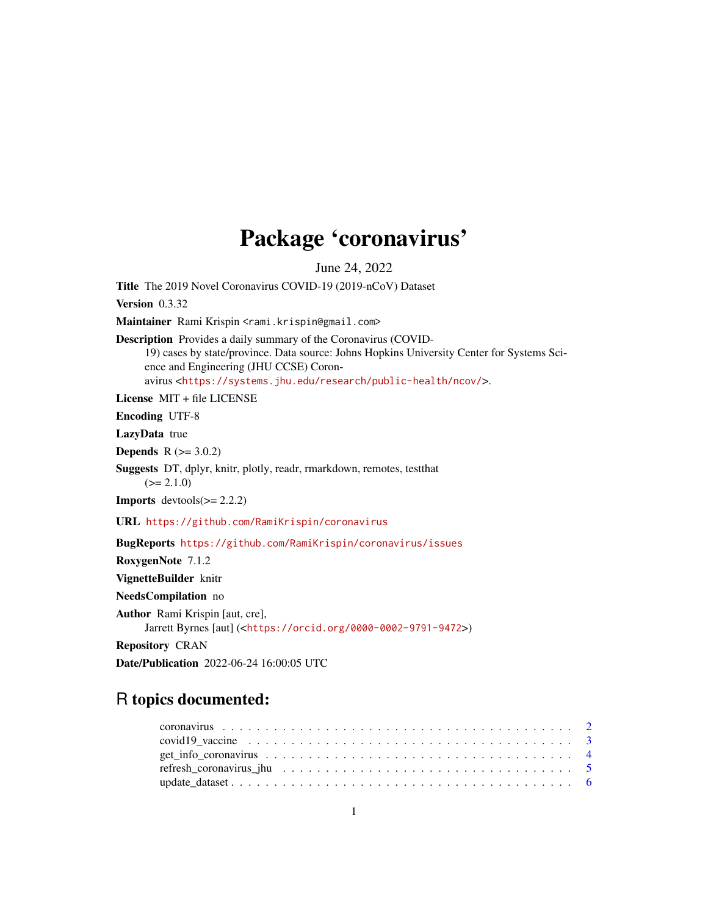## Package 'coronavirus'

June 24, 2022

Title The 2019 Novel Coronavirus COVID-19 (2019-nCoV) Dataset Version 0.3.32 Maintainer Rami Krispin <rami.krispin@gmail.com> Description Provides a daily summary of the Coronavirus (COVID-19) cases by state/province. Data source: Johns Hopkins University Center for Systems Science and Engineering (JHU CCSE) Coronavirus <<https://systems.jhu.edu/research/public-health/ncov/>>. License MIT + file LICENSE Encoding UTF-8 LazyData true **Depends**  $R (= 3.0.2)$ Suggests DT, dplyr, knitr, plotly, readr, rmarkdown, remotes, testthat  $(>= 2.1.0)$ **Imports** devtools $(>= 2.2.2)$ URL <https://github.com/RamiKrispin/coronavirus> BugReports <https://github.com/RamiKrispin/coronavirus/issues> RoxygenNote 7.1.2 VignetteBuilder knitr NeedsCompilation no Author Rami Krispin [aut, cre], Jarrett Byrnes [aut] (<<https://orcid.org/0000-0002-9791-9472>>) Repository CRAN

Date/Publication 2022-06-24 16:00:05 UTC

### R topics documented:

| covid19 vaccine $\ldots \ldots \ldots \ldots \ldots \ldots \ldots \ldots \ldots \ldots \ldots \ldots$ |  |
|-------------------------------------------------------------------------------------------------------|--|
|                                                                                                       |  |
|                                                                                                       |  |
|                                                                                                       |  |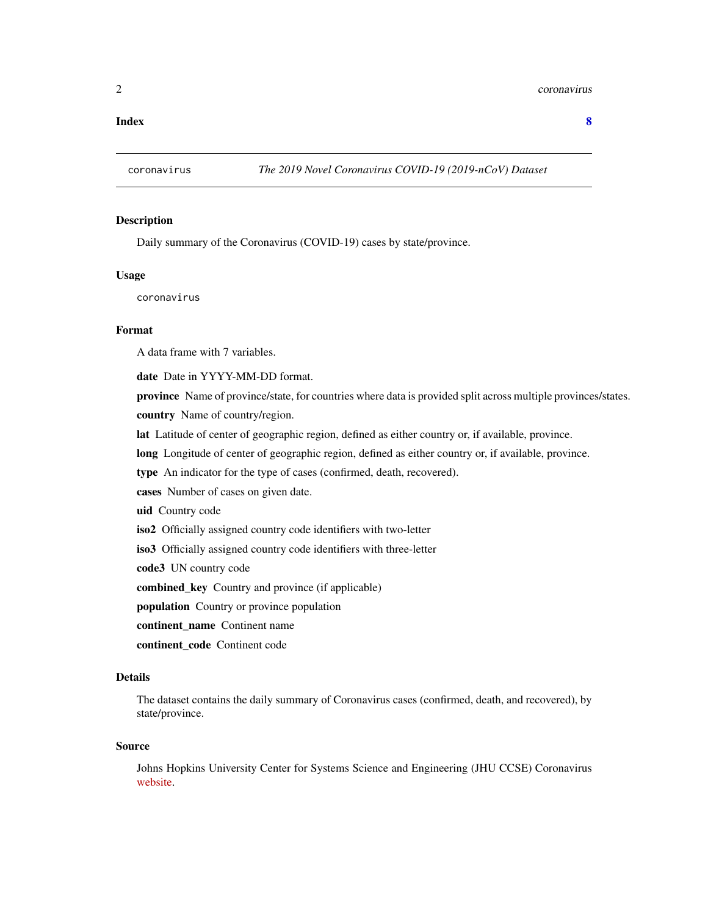#### <span id="page-1-0"></span>2 coronavirus coronavirus coronavirus coronavirus coronavirus coronavirus coronavirus coronavirus coronavirus coronavirus coronavirus coronavirus coronavirus coronavirus coronavirus coronavirus coronavirus coronavirus coro

**Index** [8](#page-7-0) **8** 

#### Description

Daily summary of the Coronavirus (COVID-19) cases by state/province.

#### Usage

coronavirus

#### Format

A data frame with 7 variables.

date Date in YYYY-MM-DD format.

province Name of province/state, for countries where data is provided split across multiple provinces/states. country Name of country/region.

lat Latitude of center of geographic region, defined as either country or, if available, province.

long Longitude of center of geographic region, defined as either country or, if available, province.

type An indicator for the type of cases (confirmed, death, recovered).

cases Number of cases on given date.

uid Country code

iso2 Officially assigned country code identifiers with two-letter

iso3 Officially assigned country code identifiers with three-letter

code3 UN country code

combined\_key Country and province (if applicable)

population Country or province population

continent name Continent name

continent\_code Continent code

#### Details

The dataset contains the daily summary of Coronavirus cases (confirmed, death, and recovered), by state/province.

#### Source

Johns Hopkins University Center for Systems Science and Engineering (JHU CCSE) Coronavirus [website.](https://systems.jhu.edu/research/public-health/ncov/)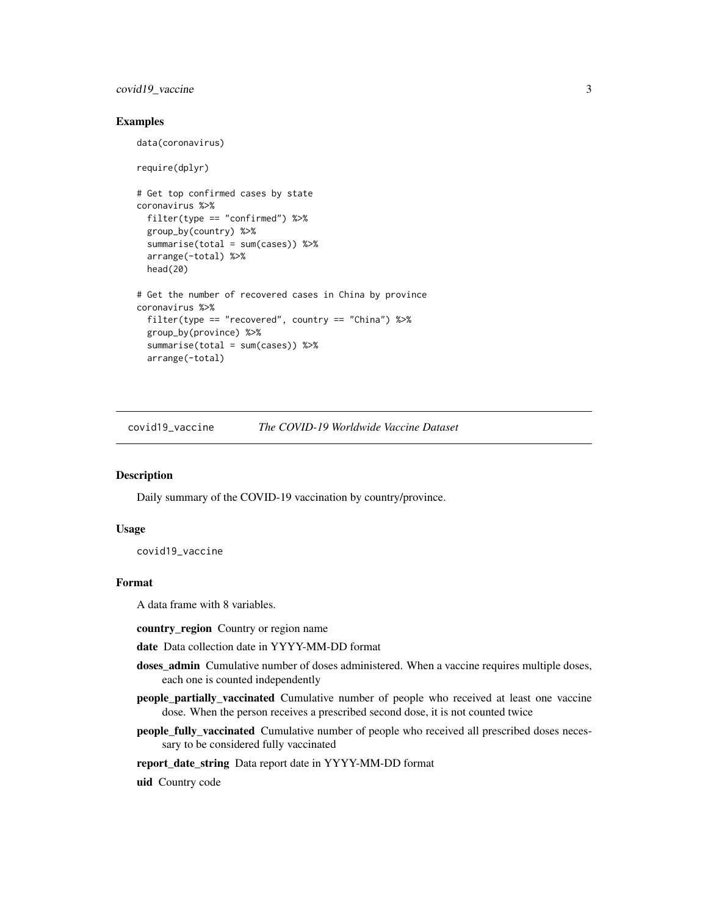#### <span id="page-2-0"></span>covid19\_vaccine 3

#### Examples

```
data(coronavirus)
require(dplyr)
# Get top confirmed cases by state
coronavirus %>%
  filter(type == "confirmed") %>%
  group_by(country) %>%
  summarise(total = sum(cases)) %>%
  arrange(-total) %>%
  head(20)
# Get the number of recovered cases in China by province
coronavirus %>%
  filter(type == "recovered", country == "China") %>%
  group_by(province) %>%
  summarise(total = sum(cases)) %>%
  arrange(-total)
```
covid19\_vaccine *The COVID-19 Worldwide Vaccine Dataset*

#### Description

Daily summary of the COVID-19 vaccination by country/province.

#### Usage

covid19\_vaccine

#### Format

A data frame with 8 variables.

country\_region Country or region name

- date Data collection date in YYYY-MM-DD format
- doses\_admin Cumulative number of doses administered. When a vaccine requires multiple doses, each one is counted independently
- people\_partially\_vaccinated Cumulative number of people who received at least one vaccine dose. When the person receives a prescribed second dose, it is not counted twice
- people\_fully\_vaccinated Cumulative number of people who received all prescribed doses necessary to be considered fully vaccinated

#### report\_date\_string Data report date in YYYY-MM-DD format

uid Country code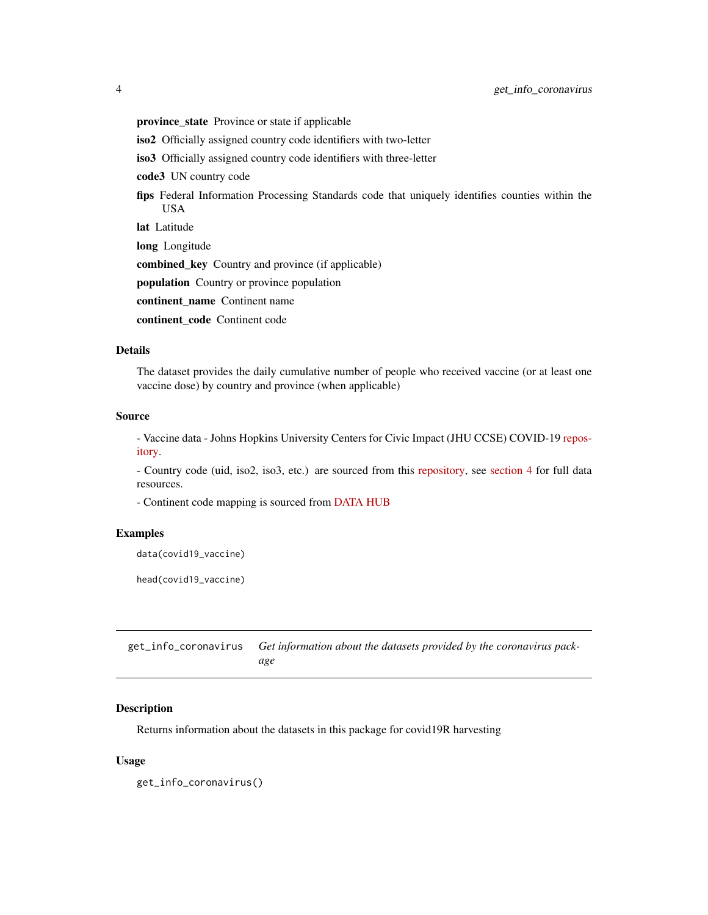<span id="page-3-0"></span>province\_state Province or state if applicable

iso2 Officially assigned country code identifiers with two-letter

iso3 Officially assigned country code identifiers with three-letter

code3 UN country code

fips Federal Information Processing Standards code that uniquely identifies counties within the USA

lat Latitude

long Longitude

combined\_key Country and province (if applicable)

population Country or province population

continent name Continent name

continent code Continent code

#### Details

The dataset provides the daily cumulative number of people who received vaccine (or at least one vaccine dose) by country and province (when applicable)

#### Source

- Vaccine data - Johns Hopkins University Centers for Civic Impact (JHU CCSE) COVID-19 [repos](https://github.com/govex/COVID-19)[itory.](https://github.com/govex/COVID-19)

- Country code (uid, iso2, iso3, etc.) are sourced from this [repository,](https://github.com/CSSEGISandData/COVID-19/tree/master/csse_covid_19_data) see [section 4](https://github.com/CSSEGISandData/COVID-19/tree/master/csse_covid_19_data#uid-lookup-table-logic) for full data resources.

- Continent code mapping is sourced from [DATA HUB](https://datahub.io/JohnSnowLabs/country-and-continent-codes-list)

#### Examples

data(covid19\_vaccine)

head(covid19\_vaccine)

get\_info\_coronavirus *Get information about the datasets provided by the coronavirus package*

#### Description

Returns information about the datasets in this package for covid19R harvesting

#### Usage

get\_info\_coronavirus()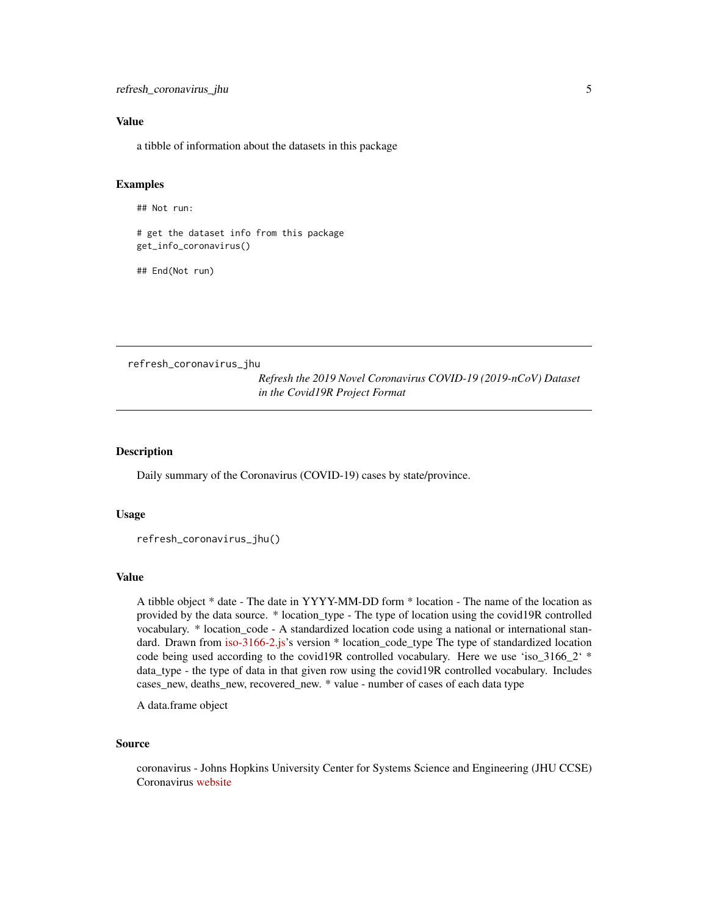#### <span id="page-4-0"></span>Value

a tibble of information about the datasets in this package

#### Examples

## Not run:

# get the dataset info from this package get\_info\_coronavirus()

## End(Not run)

refresh\_coronavirus\_jhu

*Refresh the 2019 Novel Coronavirus COVID-19 (2019-nCoV) Dataset in the Covid19R Project Format*

#### Description

Daily summary of the Coronavirus (COVID-19) cases by state/province.

#### Usage

```
refresh_coronavirus_jhu()
```
#### Value

A tibble object \* date - The date in YYYY-MM-DD form \* location - The name of the location as provided by the data source. \* location\_type - The type of location using the covid19R controlled vocabulary. \* location\_code - A standardized location code using a national or international standard. Drawn from [iso-3166-2.js'](https://github.com/olahol/iso-3166-2.js/)s version \* location\_code\_type The type of standardized location code being used according to the covid19R controlled vocabulary. Here we use 'iso\_3166\_2'  $*$ data\_type - the type of data in that given row using the covid19R controlled vocabulary. Includes cases\_new, deaths\_new, recovered\_new. \* value - number of cases of each data type

A data.frame object

#### Source

coronavirus - Johns Hopkins University Center for Systems Science and Engineering (JHU CCSE) Coronavirus [website](https://systems.jhu.edu/research/public-health/ncov/)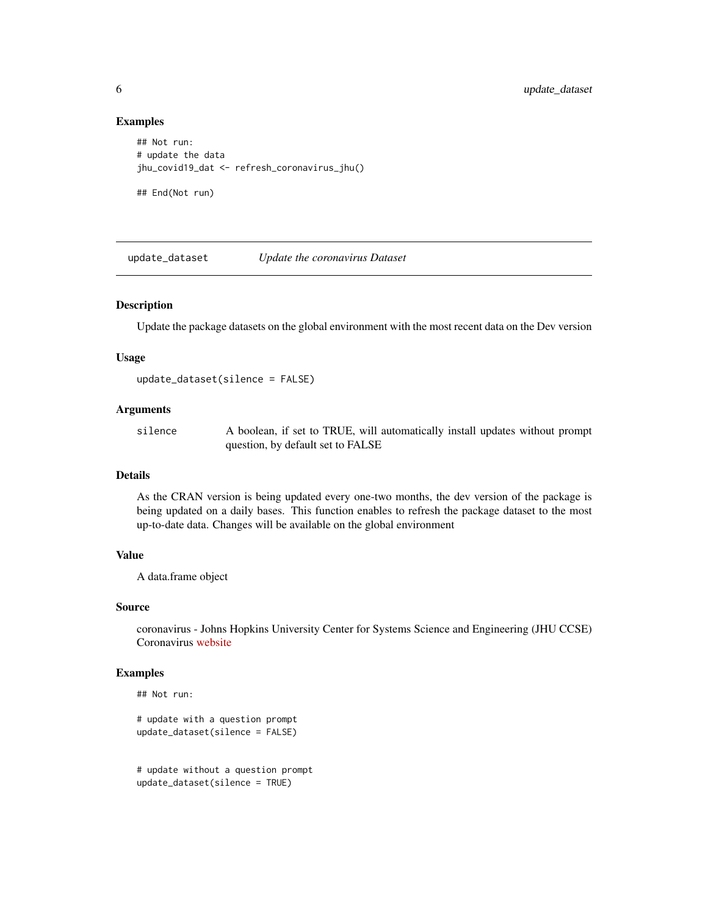#### Examples

```
## Not run:
# update the data
jhu_covid19_dat <- refresh_coronavirus_jhu()
```
## End(Not run)

update\_dataset *Update the coronavirus Dataset*

#### Description

Update the package datasets on the global environment with the most recent data on the Dev version

#### Usage

```
update_dataset(silence = FALSE)
```
#### Arguments

silence A boolean, if set to TRUE, will automatically install updates without prompt question, by default set to FALSE

#### Details

As the CRAN version is being updated every one-two months, the dev version of the package is being updated on a daily bases. This function enables to refresh the package dataset to the most up-to-date data. Changes will be available on the global environment

#### Value

A data.frame object

#### Source

coronavirus - Johns Hopkins University Center for Systems Science and Engineering (JHU CCSE) Coronavirus [website](https://systems.jhu.edu/research/public-health/ncov/)

#### Examples

## Not run:

```
# update with a question prompt
update_dataset(silence = FALSE)
```
# update without a question prompt update\_dataset(silence = TRUE)

<span id="page-5-0"></span>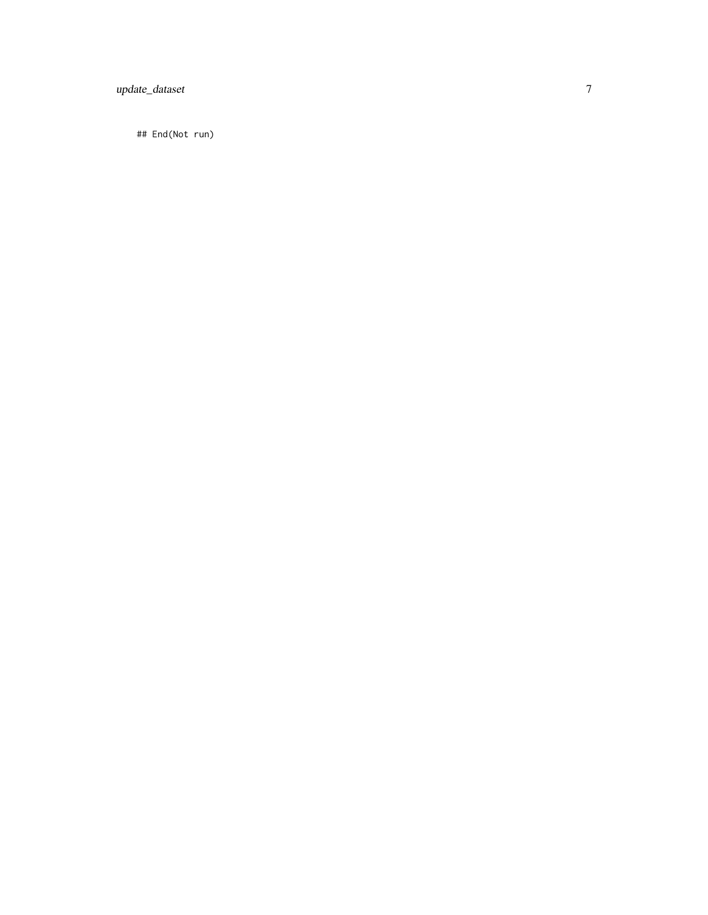update\_dataset

## End(Not run)